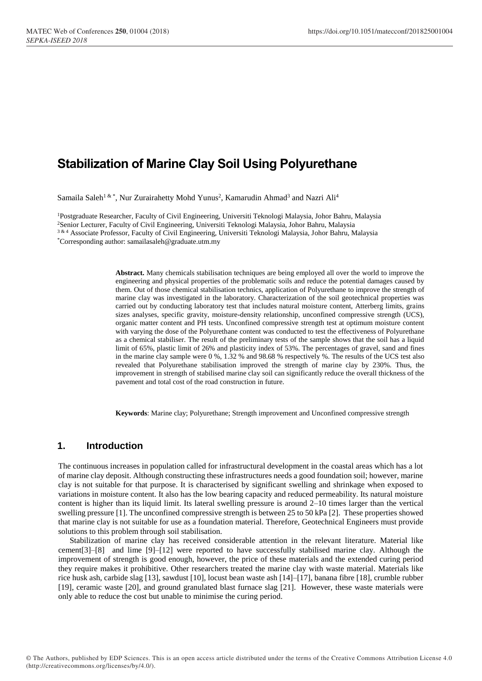# **Stabilization of Marine Clay Soil Using Polyurethane**

Samaila Saleh<sup>1 & \*</sup>, Nur Zurairahetty Mohd Yunus<sup>2</sup>, Kamarudin Ahmad<sup>3</sup> and Nazri Ali<sup>4</sup>

<sup>1</sup>Postgraduate Researcher, Faculty of Civil Engineering, Universiti Teknologi Malaysia, Johor Bahru, Malaysia <sup>2</sup>Senior Lecturer, Faculty of Civil Engineering, Universiti Teknologi Malaysia, Johor Bahru, Malaysia 3 & 4 Associate Professor, Faculty of Civil Engineering, Universiti Teknologi Malaysia, Johor Bahru, Malaysia \*Corresponding author: samailasaleh@graduate.utm.my

> **Abstract.** Many chemicals stabilisation techniques are being employed all over the world to improve the engineering and physical properties of the problematic soils and reduce the potential damages caused by them. Out of those chemical stabilisation technics, application of Polyurethane to improve the strength of marine clay was investigated in the laboratory. Characterization of the soil geotechnical properties was carried out by conducting laboratory test that includes natural moisture content, Atterberg limits, grains sizes analyses, specific gravity, moisture-density relationship, unconfined compressive strength (UCS), organic matter content and PH tests. Unconfined compressive strength test at optimum moisture content with varying the dose of the Polyurethane content was conducted to test the effectiveness of Polyurethane as a chemical stabiliser. The result of the preliminary tests of the sample shows that the soil has a liquid limit of 65%, plastic limit of 26% and plasticity index of 53%. The percentages of gravel, sand and fines in the marine clay sample were 0 %, 1.32 % and 98.68 % respectively %. The results of the UCS test also revealed that Polyurethane stabilisation improved the strength of marine clay by 230%. Thus, the improvement in strength of stabilised marine clay soil can significantly reduce the overall thickness of the pavement and total cost of the road construction in future.

**Keywords**: Marine clay; Polyurethane; Strength improvement and Unconfined compressive strength

## **1. Introduction**

The continuous increases in population called for infrastructural development in the coastal areas which has a lot of marine clay deposit. Although constructing these infrastructures needs a good foundation soil; however, marine clay is not suitable for that purpose. It is characterised by significant swelling and shrinkage when exposed to variations in moisture content. It also has the low bearing capacity and reduced permeability. Its natural moisture content is higher than its liquid limit. Its lateral swelling pressure is around 2–10 times larger than the vertical swelling pressure [1]. The unconfined compressive strength is between 25 to 50 kPa [2]. These properties showed that marine clay is not suitable for use as a foundation material. Therefore, Geotechnical Engineers must provide solutions to this problem through soil stabilisation.

Stabilization of marine clay has received considerable attention in the relevant literature. Material like cement[3]–[8] and lime [9]–[12] were reported to have successfully stabilised marine clay. Although the improvement of strength is good enough, however, the price of these materials and the extended curing period they require makes it prohibitive. Other researchers treated the marine clay with waste material. Materials like rice husk ash, carbide slag [13], sawdust [10], locust bean waste ash [14]–[17], banana fibre [18], crumble rubber [19], ceramic waste [20], and ground granulated blast furnace slag [21]. However, these waste materials were only able to reduce the cost but unable to minimise the curing period.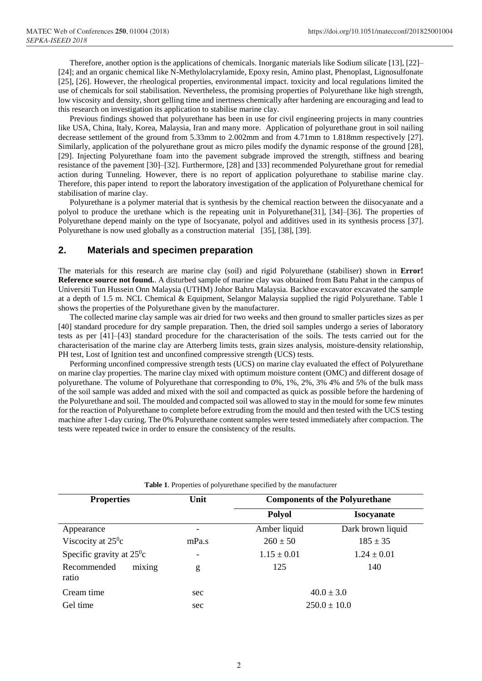Therefore, another option is the applications of chemicals. Inorganic materials like Sodium silicate [13], [22]– [24]; and an organic chemical like N-Methylolacrylamide, Epoxy resin, Amino plast, Phenoplast, Lignosulfonate [25], [26]. However, the rheological properties, environmental impact. toxicity and local regulations limited the use of chemicals for soil stabilisation. Nevertheless, the promising properties of Polyurethane like high strength, low viscosity and density, short gelling time and inertness chemically after hardening are encouraging and lead to this research on investigation its application to stabilise marine clay.

Previous findings showed that polyurethane has been in use for civil engineering projects in many countries like USA, China, Italy, Korea, Malaysia, Iran and many more. Application of polyurethane grout in soil nailing decrease settlement of the ground from 5.33mm to 2.002mm and from 4.71mm to 1.818mm respectively [27]. Similarly, application of the polyurethane grout as micro piles modify the dynamic response of the ground [28], [29]. Injecting Polyurethane foam into the pavement subgrade improved the strength, stiffness and bearing resistance of the pavement [30]–[32]. Furthermore, [28] and [33] recommended Polyurethane grout for remedial action during Tunneling. However, there is no report of application polyurethane to stabilise marine clay. Therefore, this paper intend to report the laboratory investigation of the application of Polyurethane chemical for stabilisation of marine clay.

Polyurethane is a polymer material that is synthesis by the chemical reaction between the diisocyanate and a polyol to produce the urethane which is the repeating unit in Polyurethane[31], [34]–[36]. The properties of Polyurethane depend mainly on the type of Isocyanate, polyol and additives used in its synthesis process [37]. Polyurethane is now used globally as a construction material [35], [38], [39].

#### **2. Materials and specimen preparation**

The materials for this research are marine clay (soil) and rigid Polyurethane (stabiliser) shown in **Error! Reference source not found.**. A disturbed sample of marine clay was obtained from Batu Pahat in the campus of Universiti Tun Hussein Onn Malaysia (UTHM) Johor Bahru Malaysia. Backhoe excavator excavated the sample at a depth of 1.5 m. NCL Chemical & Equipment, Selangor Malaysia supplied the rigid Polyurethane. Table 1 shows the properties of the Polyurethane given by the manufacturer.

The collected marine clay sample was air dried for two weeks and then ground to smaller particles sizes as per [40] standard procedure for dry sample preparation. Then, the dried soil samples undergo a series of laboratory tests as per [41]–[43] standard procedure for the characterisation of the soils. The tests carried out for the characterisation of the marine clay are Atterberg limits tests, grain sizes analysis, moisture-density relationship, PH test, Lost of Ignition test and unconfined compressive strength (UCS) tests.

Performing unconfined compressive strength tests (UCS) on marine clay evaluated the effect of Polyurethane on marine clay properties. The marine clay mixed with optimum moisture content (OMC) and different dosage of polyurethane. The volume of Polyurethane that corresponding to 0%, 1%, 2%, 3% 4% and 5% of the bulk mass of the soil sample was added and mixed with the soil and compacted as quick as possible before the hardening of the Polyurethane and soil. The moulded and compacted soil was allowed to stay in the mould for some few minutes for the reaction of Polyurethane to complete before extruding from the mould and then tested with the UCS testing machine after 1-day curing. The 0% Polyurethane content samples were tested immediately after compaction. The tests were repeated twice in order to ensure the consistency of the results.

| <b>Properties</b>                  | Unit            | <b>Components of the Polyurethane</b> |                   |
|------------------------------------|-----------------|---------------------------------------|-------------------|
|                                    |                 | <b>Polyol</b>                         | <b>Isocyanate</b> |
| Appearance                         | $\qquad \qquad$ | Amber liquid                          | Dark brown liquid |
| Viscocity at $25^\circ c$          | mPa.s           | $260 \pm 50$                          | $185 \pm 35$      |
| Specific gravity at $25^{\circ}$ c | $\qquad \qquad$ | $1.15 \pm 0.01$                       | $1.24 \pm 0.01$   |
| mixing<br>Recommended<br>ratio     | g               | 125                                   | 140               |
| Cream time                         | sec             | $40.0 \pm 3.0$                        |                   |
| Gel time                           | sec             |                                       | $250.0 \pm 10.0$  |

**Table 1**. Properties of polyurethane specified by the manufacturer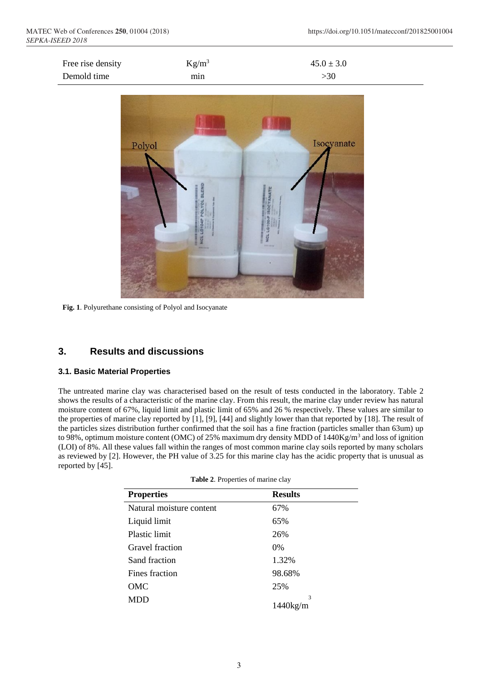J.

| Free rise density | $Kg/m^3$ | $45.0 \pm 3.0$ |  |
|-------------------|----------|----------------|--|
|                   |          |                |  |
| Demold time       | min      | >30            |  |



**Fig. 1**. Polyurethane consisting of Polyol and Isocyanate

## **3. Results and discussions**

#### **3.1. Basic Material Properties**

The untreated marine clay was characterised based on the result of tests conducted in the laboratory. Table 2 shows the results of a characteristic of the marine clay. From this result, the marine clay under review has natural moisture content of 67%, liquid limit and plastic limit of 65% and 26 % respectively. These values are similar to the properties of marine clay reported by [1], [9], [44] and slightly lower than that reported by [18]. The result of the particles sizes distribution further confirmed that the soil has a fine fraction (particles smaller than 63um) up to 98%, optimum moisture content (OMC) of 25% maximum dry density MDD of  $1440\text{Kg/m}^3$  and loss of ignition (LOI) of 8%. All these values fall within the ranges of most common marine clay soils reported by many scholars as reviewed by [2]. However, the PH value of 3.25 for this marine clay has the acidic property that is unusual as reported by [45].

|  |  | Table 2. Properties of marine clay |  |  |
|--|--|------------------------------------|--|--|
|--|--|------------------------------------|--|--|

| <b>Properties</b>        | <b>Results</b> |
|--------------------------|----------------|
| Natural moisture content | 67%            |
| Liquid limit             | 65%            |
| Plastic limit            | 26%            |
| Gravel fraction          | 0%             |
| Sand fraction            | 1.32%          |
| Fines fraction           | 98.68%         |
| OMC                      | 25%            |
| MDD                      | 3<br>1440kg/m  |
|                          |                |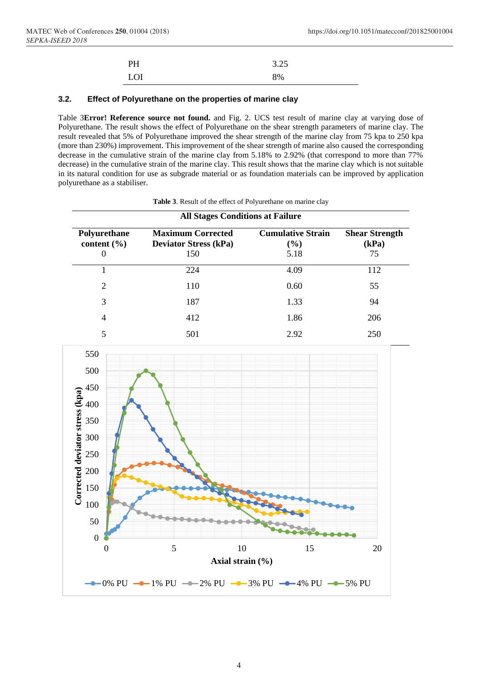| PH  | 3.25 |
|-----|------|
| LOI | 8%   |

#### **3.2. Effect of Polyurethane on the properties of marine clay**

Table 3**Error! Reference source not found.** and Fig. 2. UCS test result of marine clay at varying dose of Polyurethane. The result shows the effect of Polyurethane on the shear strength parameters of marine clay. The result revealed that 5% of Polyurethane improved the shear strength of the marine clay from 75 kpa to 250 kpa (more than 230%) improvement. This improvement of the shear strength of marine also caused the corresponding decrease in the cumulative strain of the marine clay from 5.18% to 2.92% (that correspond to more than 77% decrease) in the cumulative strain of the marine clay. This result shows that the marine clay which is not suitable in its natural condition for use as subgrade material or as foundation materials can be improved by application polyurethane as a stabiliser.

| <b>All Stages Conditions at Failure</b>   |                                                                 |                                         |                                      |
|-------------------------------------------|-----------------------------------------------------------------|-----------------------------------------|--------------------------------------|
| Polyurethane<br>content $(\% )$<br>$_{0}$ | <b>Maximum Corrected</b><br><b>Deviator Stress (kPa)</b><br>150 | <b>Cumulative Strain</b><br>(%)<br>5.18 | <b>Shear Strength</b><br>(kPa)<br>75 |
|                                           | 224                                                             | 4.09                                    | 112                                  |
| 2                                         | 110                                                             | 0.60                                    | 55                                   |
| 3                                         | 187                                                             | 1.33                                    | 94                                   |
| 4                                         | 412                                                             | 1.86                                    | 206                                  |
| 5                                         | 501                                                             | 2.92                                    | 250                                  |

**Table 3**. Result of the effect of Polyurethane on marine clay

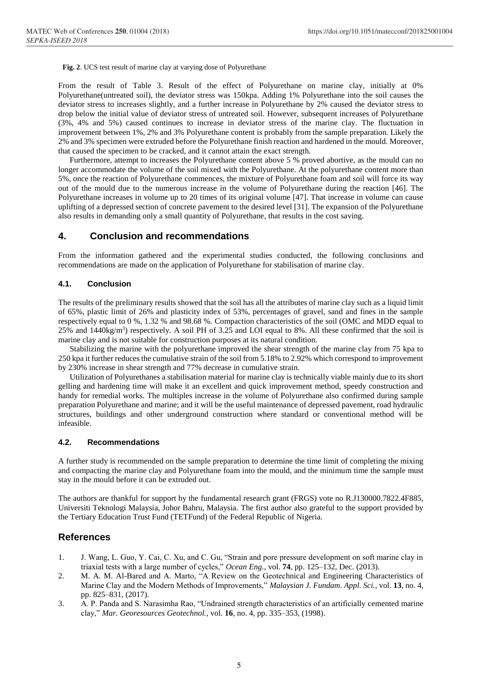**Fig. 2**. UCS test result of marine clay at varying dose of Polyurethane

From the result of Table 3. Result of the effect of Polyurethane on marine clay, initially at 0% Polyurethane(untreated soil), the deviator stress was 150kpa. Adding 1% Polyurethane into the soil causes the deviator stress to increases slightly, and a further increase in Polyurethane by 2% caused the deviator stress to drop below the initial value of deviator stress of untreated soil. However, subsequent increases of Polyurethane (3%, 4% and 5%) caused continues to increase in deviator stress of the marine clay. The fluctuation in improvement between 1%, 2% and 3% Polyurethane content is probably from the sample preparation. Likely the 2% and 3% specimen were extruded before the Polyurethane finish reaction and hardened in the mould. Moreover, that caused the specimen to be cracked, and it cannot attain the exact strength.

Furthermore, attempt to increases the Polyurethane content above 5 % proved abortive, as the mould can no longer accommodate the volume of the soil mixed with the Polyurethane. At the polyurethane content more than 5%, once the reaction of Polyurethane commences, the mixture of Polyurethane foam and soil will force its way out of the mould due to the numerous increase in the volume of Polyurethane during the reaction [46]. The Polyurethane increases in volume up to 20 times of its original volume [47]. That increase in volume can cause uplifting of a depressed section of concrete pavement to the desired level [31]. The expansion of the Polyurethane also results in demanding only a small quantity of Polyurethane, that results in the cost saving.

### **4. Conclusion and recommendations**

From the information gathered and the experimental studies conducted, the following conclusions and recommendations are made on the application of Polyurethane for stabilisation of marine clay.

#### **4.1. Conclusion**

The results of the preliminary results showed that the soil has all the attributes of marine clay such as a liquid limit of 65%, plastic limit of 26% and plasticity index of 53%, percentages of gravel, sand and fines in the sample respectively equal to 0 %, 1.32 % and 98.68 %. Compaction characteristics of the soil (OMC and MDD equal to 25% and  $1440\text{kg/m}^3$ ) respectively. A soil PH of 3.25 and LOI equal to 8%. All these confirmed that the soil is marine clay and is not suitable for construction purposes at its natural condition.

Stabilizing the marine with the polyurethane improved the shear strength of the marine clay from 75 kpa to 250 kpa it further reduces the cumulative strain of the soil from 5.18% to 2.92% which correspond to improvement by 230% increase in shear strength and 77% decrease in cumulative strain.

Utilization of Polyurethanes a stabilisation material for marine clay is technically viable mainly due to its short gelling and hardening time will make it an excellent and quick improvement method, speedy construction and handy for remedial works. The multiples increase in the volume of Polyurethane also confirmed during sample preparation Polyurethane and marine; and it will be the useful maintenance of depressed pavement, road hydraulic structures, buildings and other underground construction where standard or conventional method will be infeasible.

#### **4.2. Recommendations**

A further study is recommended on the sample preparation to determine the time limit of completing the mixing and compacting the marine clay and Polyurethane foam into the mould, and the minimum time the sample must stay in the mould before it can be extruded out.

The authors are thankful for support by the fundamental research grant (FRGS) vote no R.J130000.7822.4F885, Universiti Teknologi Malaysia, Johor Bahru, Malaysia. The first author also grateful to the support provided by the Tertiary Education Trust Fund (TETFund) of the Federal Republic of Nigeria.

#### **References**

- 1. J. Wang, L. Guo, Y. Cai, C. Xu, and C. Gu, "Strain and pore pressure development on soft marine clay in triaxial tests with a large number of cycles," *Ocean Eng.*, vol. **74**, pp. 125–132, Dec. (2013).
- 2. M. A. M. Al-Bared and A. Marto, "A Review on the Geotechnical and Engineering Characteristics of Marine Clay and the Modern Methods of Improvements," *Malaysian J. Fundam. Appl. Sci.*, vol. **13**, no. 4, pp. 825–831, (2017).
- 3. A. P. Panda and S. Narasimha Rao, "Undrained strength characteristics of an artificially cemented marine clay," *Mar. Georesources Geotechnol.*, vol. **16**, no. 4, pp. 335–353, (1998).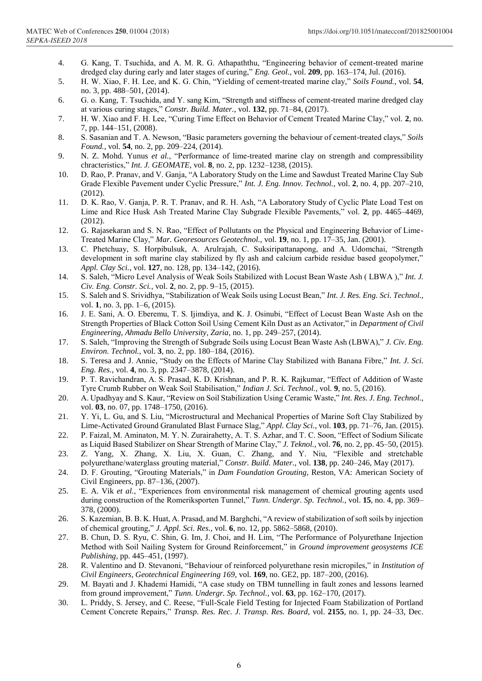- 4. G. Kang, T. Tsuchida, and A. M. R. G. Athapaththu, "Engineering behavior of cement-treated marine dredged clay during early and later stages of curing," *Eng. Geol.*, vol. **209**, pp. 163–174, Jul. (2016).
- 5. H. W. Xiao, F. H. Lee, and K. G. Chin, "Yielding of cement-treated marine clay," *Soils Found.*, vol. **54**, no. 3, pp. 488–501, (2014).
- 6. G. o. Kang, T. Tsuchida, and Y. sang Kim, "Strength and stiffness of cement-treated marine dredged clay at various curing stages," *Constr. Build. Mater.*, vol. **132**, pp. 71–84, (2017).
- 7. H. W. Xiao and F. H. Lee, "Curing Time Effect on Behavior of Cement Treated Marine Clay," vol. **2**, no. 7, pp. 144–151, (2008).
- 8. S. Sasanian and T. A. Newson, "Basic parameters governing the behaviour of cement-treated clays," *Soils Found.*, vol. **54**, no. 2, pp. 209–224, (2014).
- 9. N. Z. Mohd. Yunus *et al.*, "Performance of lime-treated marine clay on strength and compressibility chracteristics," *Int. J. GEOMATE*, vol. **8**, no. 2, pp. 1232–1238, (2015).
- 10. D. Rao, P. Pranav, and V. Ganja, "A Laboratory Study on the Lime and Sawdust Treated Marine Clay Sub Grade Flexible Pavement under Cyclic Pressure," *Int. J. Eng. Innov. Technol.*, vol. **2**, no. 4, pp. 207–210,  $(2012)$
- 11. D. K. Rao, V. Ganja, P. R. T. Pranav, and R. H. Ash, "A Laboratory Study of Cyclic Plate Load Test on Lime and Rice Husk Ash Treated Marine Clay Subgrade Flexible Pavements," vol. **2**, pp. 4465–4469, (2012).
- 12. G. Rajasekaran and S. N. Rao, "Effect of Pollutants on the Physical and Engineering Behavior of Lime-Treated Marine Clay," *Mar. Georesources Geotechnol.*, vol. **19**, no. 1, pp. 17–35, Jan. (2001).
- 13. C. Phetchuay, S. Horpibulsuk, A. Arulrajah, C. Suksiripattanapong, and A. Udomchai, "Strength development in soft marine clay stabilized by fly ash and calcium carbide residue based geopolymer," *Appl. Clay Sci.*, vol. **127**, no. 128, pp. 134–142, (2016).
- 14. S. Saleh, "Micro Level Analysis of Weak Soils Stabilized with Locust Bean Waste Ash ( LBWA )," *Int. J. Civ. Eng. Constr. Sci.*, vol. **2**, no. 2, pp. 9–15, (2015).
- 15. S. Saleh and S. Srividhya, "Stabilization of Weak Soils using Locust Bean," *Int. J. Res. Eng. Sci. Technol.*, vol. **1**, no. 3, pp. 1–6, (2015).
- 16. J. E. Sani, A. O. Eberemu, T. S. Ijimdiya, and K. J. Osinubi, "Effect of Locust Bean Waste Ash on the Strength Properties of Black Cotton Soil Using Cement Kiln Dust as an Activator," in *Department of Civil Engineering, Ahmadu Bello University, Zaria*, no. 1, pp. 249–257, (2014).
- 17. S. Saleh, "Improving the Strength of Subgrade Soils using Locust Bean Waste Ash (LBWA)," *J. Civ. Eng. Environ. Technol.*, vol. **3**, no. 2, pp. 180–184, (2016).
- 18. S. Teresa and J. Annie, "Study on the Effects of Marine Clay Stabilized with Banana Fibre," *Int. J. Sci. Eng. Res.*, vol. **4**, no. 3, pp. 2347–3878, (2014).
- 19. P. T. Ravichandran, A. S. Prasad, K. D. Krishnan, and P. R. K. Rajkumar, "Effect of Addition of Waste Tyre Crumb Rubber on Weak Soil Stabilisation," *Indian J. Sci. Technol.*, vol. **9**, no. 5, (2016).
- 20. A. Upadhyay and S. Kaur, "Review on Soil Stabilization Using Ceramic Waste," *Int. Res. J. Eng. Technol.*, vol. **03**, no. 07, pp. 1748–1750, (2016).
- 21. Y. Yi, L. Gu, and S. Liu, "Microstructural and Mechanical Properties of Marine Soft Clay Stabilized by Lime-Activated Ground Granulated Blast Furnace Slag," *Appl. Clay Sci.*, vol. **103**, pp. 71–76, Jan. (2015).
- 22. P. Faizal, M. Aminaton, M. Y. N. Zurairahetty, A. T. S. Azhar, and T. C. Soon, "Effect of Sodium Silicate as Liquid Based Stabilizer on Shear Strength of Marine Clay," *J. Teknol.*, vol. **76**, no. 2, pp. 45–50, (2015).
- 23. Z. Yang, X. Zhang, X. Liu, X. Guan, C. Zhang, and Y. Niu, "Flexible and stretchable polyurethane/waterglass grouting material," *Constr. Build. Mater.*, vol. **138**, pp. 240–246, May (2017).
- 24. D. F. Grouting, "Grouting Materials," in *Dam Foundation Grouting*, Reston, VA: American Society of Civil Engineers, pp. 87–136, (2007).
- 25. E. A. Vik *et al.*, "Experiences from environmental risk management of chemical grouting agents used during construction of the Romeriksporten Tunnel," *Tunn. Undergr. Sp. Technol.*, vol. **15**, no. 4, pp. 369– 378, (2000).
- 26. S. Kazemian, B. B. K. Huat, A. Prasad, and M. Barghchi, "A review of stabilization of soft soils by injection of chemical grouting," *J. Appl. Sci. Res.*, vol. **6**, no. 12, pp. 5862–5868, (2010).
- 27. B. Chun, D. S. Ryu, C. Shin, G. Im, J. Choi, and H. Lim, "The Performance of Polyurethane Injection Method with Soil Nailing System for Ground Reinforcement," in *Ground improvement geosystems ICE Publishing*, pp. 445–451, (1997).
- 28. R. Valentino and D. Stevanoni, "Behaviour of reinforced polyurethane resin micropiles," in *Institution of Civil Engineers, Geotechnical Engineering 169*, vol. **169**, no. GE2, pp. 187–200, (2016).
- 29. M. Bayati and J. Khademi Hamidi, "A case study on TBM tunnelling in fault zones and lessons learned from ground improvement," *Tunn. Undergr. Sp. Technol.*, vol. **63**, pp. 162–170, (2017).
- 30. L. Priddy, S. Jersey, and C. Reese, "Full-Scale Field Testing for Injected Foam Stabilization of Portland Cement Concrete Repairs," *Transp. Res. Rec. J. Transp. Res. Board*, vol. **2155**, no. 1, pp. 24–33, Dec.